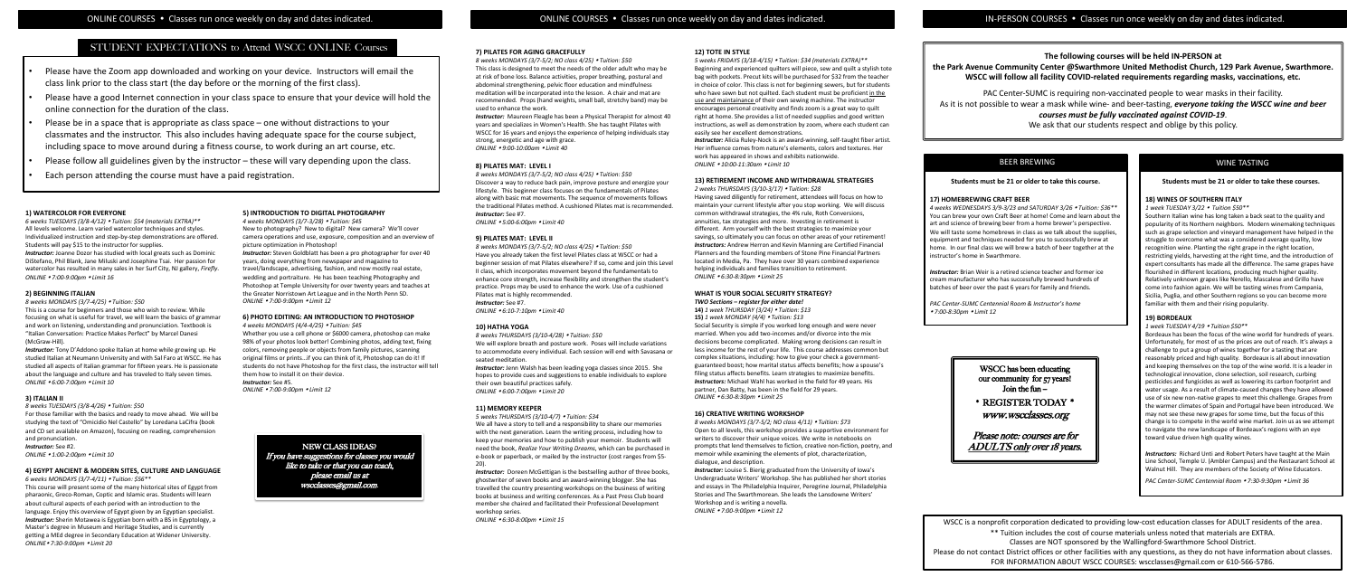#### **7) PILATES FOR AGING GRACEFULLY**

*Instructor:* Maureen Fleagle has been a Physical Therapist for almost 40 years and specializes in Women's Health. She has taught Pilates with WSCC for 16 years and enjoys the experience of helping individuals stay strong, energetic and age with grace. *ONLINE 9:00-10:00am Limit 40* 

#### **8) PILATES MAT: LEVEL I**

*8 weeks MONDAYS (3/7-5/2; NO class 4/25) Tuition: \$50* Discover a way to reduce back pain, improve posture and energize your lifestyle. This beginner class focuses on the fundamentals of Pilates along with basic mat movements. The sequence of movements follows the traditional Pilates method. A cushioned Pilates mat is recommended. *Instructor:* See #7.

*ONLINE 5:00-6:00pm Limit 40*

#### **9) PILATES MAT: LEVEL II**

*8 weeks MONDAYS (3/7-5/2; NO class 4/25) Tuition: \$50* Have you already taken the first level Pilates class at WSCC or had a beginner session of mat Pilates elsewhere? If so, come and join this Level II class, which incorporates movement beyond the fundamentals to enhance core strength, increase flexibility and strengthen the student's practice. Props may be used to enhance the work. Use of a cushioned Pilates mat is highly recommended. *Instructor:* See #7. *ONLINE 6:10-7:10pm Limit 40*

**Instructor:** Doreen McGettigan is the bestselling author of three books, ghostwriter of seven books and an award-winning blogger. She has travelled the country presenting workshops on the business of writing books at business and writing conferences. As a Past Press Club board member she chaired and facilitated their Professional Development workshop series.

#### **10) HATHA YOGA**

*8 weeks THURSDAYS (3/10-4/28) Tuition: \$50* 

*8 weeks MONDAYS (3/7-5/2; NO class 4/25) Tuition: \$50* This class is designed to meet the needs of the older adult who may be at risk of bone loss. Balance activities, proper breathing, postural and abdominal strengthening, pelvic floor education and mindfulness meditation will be incorporated into the lesson. A chair and mat are recommended. Props (hand weights, small ball, stretchy band) may be used to enhance the work. *5 weeks FRIDAYS (3/18-4/15) Tuition: \$34 (materials EXTRA)\*\** Beginning and experienced quilters will piece, sew and quilt a stylish tote bag with pockets. Precut kits will be purchased for \$32 from the teacher in choice of color. This class is not for beginning sewers, but for students who have sewn but not quilted. Each student must be proficient in the use and maintainance of their own sewing machine. The instructor encourages personal creativity and finds zoom is a great way to quilt

We will explore breath and posture work. Poses will include variations to accommodate every individual. Each session will end with Savasana or seated meditation.

*Instructor:* Jenn Walsh has been leading yoga classes since 2015. She hopes to provide cues and suggestions to enable individuals to explore their own beautiful practices safely. *ONLINE 6:00-7:00pm Limit 20*

#### **11) MEMORY KEEPER**

*5 weeks THURSDAYS (3/10-4/7) Tuition: \$34*

We all have a story to tell and a responsibility to share our memories with the next generation. Learn the writing process, including how to keep your memories and how to publish your memoir. Students will e-book or paperback, or mailed by the instructor (cost ranges from \$5- 20).

*ONLINE 6:30-8:00pm Limit 15*

NEW CLASS IDEAS? **Exact all the book, Realize Your Writing Dreams**, which can be purchased in prompts that lend themselves to fiction, creative non-fiction, poetry, and **ADULTS only over 18 years.** *8 weeks MONDAYS (3/7-5/2; NO class 4/11) Tuition: \$73* Open to all levels, this workshop provides a supportive environment for writers to discover their unique voices. We write in notebooks on prompts that lend themselves to fiction, creative non-fiction, poetry, and memoir while examining the elements of plot, characterization, dialogue, and description.

#### **12) TOTE IN STYLE**

*Instructor:* Louise S. Bierig graduated from the University of Iowa's Undergraduate Writers' Workshop. She has published her short stories and essays in The Philadelphia Inquirer, Peregrine Journal, Philadelphia Stories and The Swarthmorean. She leads the Lansdowne Writers' Workshop and is writing a novella. *ONLINE 7:00-9:00pm Limit 12*

*Instructor:* Joanne Dozor has studied with local greats such as Dominic DiStefano, Phil Blank, Jane Miluski and Josephine Tsai. Her passion for watercolor has resulted in many sales in her Surf City, NJ gallery, *Firefly*. *ONLINE 7:00-9:00pm Limit 16*

- right at home. She provides a list of needed supplies and good written
- instructions, as well as demonstration by zoom, where each student can easily see her excellent demonstrations. **Instructor:** Alicia Ruley-Nock is an award-winning, self-taught fiber artist. Her influence comes from nature's elements, colors and textures. Her

work has appeared in shows and exhibits nationwide. *ONLINE 10:00-11:30am Limit 10*

#### **13) RETIREMENT INCOME AND WITHDRAWAL STRATEGIES**

*2 weeks THURSDAYS (3/10-3/17) Tuition: \$28*

Having saved diligently for retirement, attendees will focus on how to maintain your current lifestyle after you stop working. We will discuss common withdrawal strategies, the 4% rule, Roth Conversions, annuities, tax strategies and more. Investing in retirement is different. Arm yourself with the best strategies to maximize your savings, so ultimately you can focus on other areas of your retirement! *Instructors:* Andrew Herron and Kevin Manning are Certified Financial Planners and the founding members of Stone Pine Financial Partners located in Media, Pa. They have over 30 years combined experience helping individuals and families transition to retirement. *ONLINE 6:30-8:30pm Limit 25*

*Instructor:* Steven Goldblatt has been a pro photographer for over 40 years, doing everything from newspaper and magazine to travel/landscape, advertising, fashion, and now mostly real estate, wedding and portraiture. He has been teaching Photography and Photoshop at Temple University for over twenty years and teaches at the Greater Norristown Art League and in the North Penn SD. *ONLINE 7:00-9:00pm Limit 12* 

### **WHAT IS YOUR SOCIAL SECURITY STRATEGY?** *TWO Sections – register for either date!*

**14)** *1 week THURSDAY (3/24) Tuition: \$13*  **15)** *1 week MONDAY (4/4) Tuition: \$13* 

Social Security is simple if you worked long enough and were never married. When you add two-incomes and/or divorce into the mix decisions become complicated. Making wrong decisions can result in less income for the rest of your life. This course addresses common but complex situations, including: how to give your check a governmentguaranteed boost; how marital status affects benefits; how a spouse's filing status affects benefits. Learn strategies to maximize benefits. **Instructors:** Michael Wahl has worked in the field for 49 years. His partner, Dan Batty, has been in the field for 29 years. *ONLINE 6:30-8:30pm Limit 25* 

#### **16) CREATIVE WRITING WORKSHOP**

**Instructors:** Richard Unti and Robert Peters have taught at the Main Line School, Temple U. (Ambler Campus) and the Restaurant School at Walnut Hill. They are members of the Society of Wine Educators.

#### **1) WATERCOLOR FOR EVERYONE**

*6 weeks TUESDAYS (3/8-4/12) Tuition: \$54 (materials EXTRA)\*\** All levels welcome. Learn varied watercolor techniques and styles. Individualized instruction and step-by-step demonstrations are offered. Students will pay \$15 to the instructor for supplies.

#### **2) BEGINNING ITALIAN**

*8 weeks MONDAYS (3/7-4/25) Tuition: \$50*

This is a course for beginners and those who wish to review. While focusing on what is useful for travel, we will learn the basics of grammar and work on listening, understanding and pronunciation. Textbook is "Italian Conversation: Practice Makes Perfect" by Marcel Danesi (McGraw-Hill).

*Instructor:* Tony D'Addono spoke Italian at home while growing up. He studied Italian at Neumann University and with Sal Faro at WSCC. He has studied all aspects of Italian grammar for fifteen years. He is passionate about the language and culture and has traveled to Italy seven times. *ONLINE 6:00-7:00pm Limit 10*

WSCC has been educating our community for  $57$  years! Join the fun  $-$ 

#### **3) ITALIAN II**

*8 weeks TUESDAYS (3/8-4/26) Tuition: \$50* For those familiar with the basics and ready to move ahead. We will be studying the text of "Omicidio Nel Castello" by Loredana LaCifra (book and CD set available on Amazon), focusing on reading, comprehension and pronunciation.

*Instructor:* See #2.

*ONLINE 1:00-2:00pm Limit 10*

#### **4) EGYPT ANCIENT & MODERN SITES, CULTURE AND LANGUAGE**

*6 weeks MONDAYS (3/7-4/11) Tuition: \$56\*\** 

This course will present some of the many historical sites of Egypt from pharaonic, Greco-Roman, Coptic and Islamic eras. Students will learn about cultural aspects of each period with an introduction to the language. Enjoy this overview of Egypt given by an Egyptian specialist. *Instructor:* Sherin Motawea is Egyptian born with a BS in Egyptology, a Master's degree in Museum and Heritage Studies, and is currently getting a MEd degree in Secondary Education at Widener University. *ONLINE 7:30-9:00pm Limit 20* 

#### **5) INTRODUCTION TO DIGITAL PHOTOGRAPHY**

*4 weeks MONDAYS (3/7-3/28) Tuition: \$45* New to photography? New to digital? New camera? We'll cover camera operations and use, exposure, composition and an overview of picture optimization in Photoshop!

#### **6) PHOTO EDITING: AN INTRODUCTION TO PHOTOSHOP** *4 weeks MONDAYS (4/4-4/25) Tuition: \$45*

Whether you use a cell phone or \$6000 camera, photoshop can make 98% of your photos look better! Combining photos, adding text, fixing colors, removing people or objects from family pictures, scanning original films or prints…if you can think of it, Photoshop can do it! If students do not have Photoshop for the first class, the instructor will tell them how to install it on their device.

*Instructor:* See #5.

*ONLINE 7:00-9:00pm Limit 12* 

WSCC is a nonprofit corporation dedicated to providing low-cost education classes for ADULT residents of the area. \*\* Tuition includes the cost of course materials unless noted that materials are EXTRA. Classes are NOT sponsored by the Wallingford-Swarthmore School District. Please do not contact District offices or other facilities with any questions, as they do not have information about classes. FOR INFORMATION ABOUT WSCC COURSES: wscclasses@gmail.com or 610-566-5786.





### **Students must be 21 or older to take these courses.**

## **18) WINES OF SOUTHERN ITALY**

*1 week TUESDAY 3/22 Tuition \$50\*\** Southern Italian wine has long taken a back seat to the quality and popularity of its Northern neighbors. Modern winemaking techniques such as grape selection and vineyard management have helped in the struggle to overcome what was a considered average quality, low recognition wine. Planting the right grape in the right location, restricting yields, harvesting at the right time, and the introduction of expert consultants has made all the difference. The same grapes have flourished in different locations, producing much higher quality. Relatively unknown grapes like Nerello, Mascalese and Grillo have come into fashion again. We will be tasting wines from Campania, Sicilia, Puglia, and other Southern regions so you can become more familiar with them and their rising popularity.

#### **19) BORDEAUX**

*1 week TUESDAY 4/19 Tuition \$50\*\**

Bordeaux has been the focus of the wine world for hundreds of years. Unfortunately, for most of us the prices are out of reach. It's always a challenge to put a group of wines together for a tasting that are reasonably priced and high quality. Bordeaux is all about innovation and keeping themselves on the top of the wine world. It is a leader in technological innovation, clone selection, soil research, curbing pesticides and fungicides as well as lowering its carbon footprint and water usage. As a result of climate-caused changes they have allowed use of six new non-native grapes to meet this challenge. Grapes from the warmer climates of Spain and Portugal have been introduced. We may not see these new grapes for some time, but the focus of this change is to compete in the world wine market. Join us as we attempt to navigate the new landscape of Bordeaux's regions with an eye toward value driven high quality wines.

*PAC Center-SUMC Centennial Room 7:30-9:30pm Limit 36*

## WINE TASTING

## **The following courses will be held IN-PERSON at**

**the Park Avenue Community Center @Swarthmore United Methodist Church, 129 Park Avenue, Swarthmore. WSCC will follow all facility COVID-related requirements regarding masks, vaccinations, etc.** 

PAC Center-SUMC is requiring non-vaccinated people to wear masks in their facility.

As it is not possible to wear a mask while wine- and beer-tasting, *everyone taking the WSCC wine and beer* 

## *courses must be fully vaccinated against COVID-19*.

We ask that our students respect and oblige by this policy.

#### **Students must be 21 or older to take this course.**

#### **17) HOMEBREWING CRAFT BEER**

*4 weeks WEDNESDAYS 3/9-3/23 and SATURDAY 3/26 Tuition: \$36\*\** You can brew your own Craft Beer at home! Come and learn about the art and science of brewing beer from a home brewer's perspective. We will taste some homebrews in class as we talk about the supplies, equipment and techniques needed for you to successfully brew at home. In our final class we will brew a batch of beer together at the instructor's home in Swarthmore.

*Instructor:* Brian Weir is a retired science teacher and former ice cream manufacturer who has successfully brewed hundreds of batches of beer over the past 6 years for family and friends.

*PAC Center-SUMC Centennial Room & Instructor's home 7:00-8:30pm Limit 12* 

## BEER BREWING

## STUDENT EXPECTATIONS to Attend WSCC ONLINE Courses

- Please have the Zoom app downloaded and working on your device. Instructors will email the class link prior to the class start (the day before or the morning of the first class).
- Please have a good Internet connection in your class space to ensure that your device will hold the online connection for the duration of the class.
- Please be in a space that is appropriate as class space one without distractions to your classmates and the instructor. This also includes having adequate space for the course subject, including space to move around during a fitness course, to work during an art course, etc.
- Please follow all guidelines given by the instructor these will vary depending upon the class.
- Each person attending the course must have a paid registration.

\* REGISTER TODAY \* www.wscclasses.org

Please note: courses are for

If you have suggestions for classes you would like to take or that you can teach, please email us at wscclasses@gmail.com.